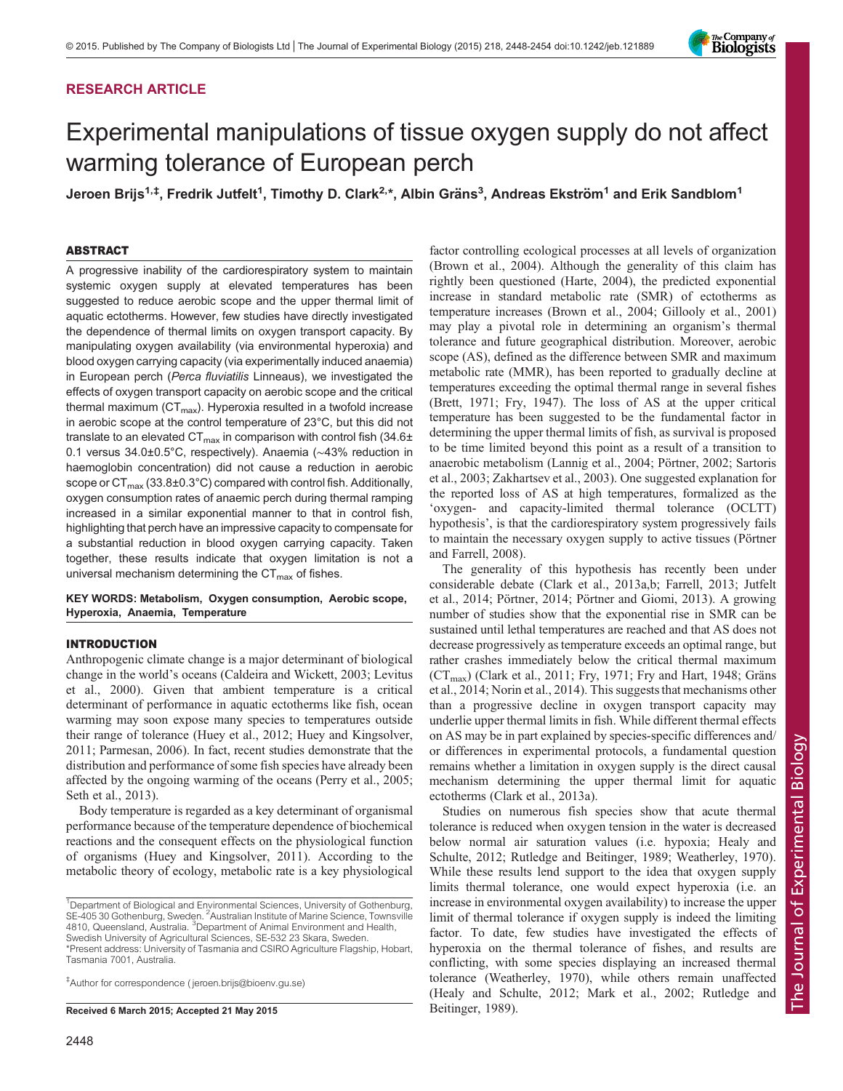# RESEARCH ARTICLE



# Experimental manipulations of tissue oxygen supply do not affect warming tolerance of European perch

Jeroen Brijs<sup>1,‡</sup>, Fredrik Jutfelt<sup>1</sup>, Timothy D. Clark<sup>2,\*</sup>, Albin Gräns<sup>3</sup>, Andreas Ekström<sup>1</sup> and Erik Sandblom<sup>1</sup>

# ABSTRACT

A progressive inability of the cardiorespiratory system to maintain systemic oxygen supply at elevated temperatures has been suggested to reduce aerobic scope and the upper thermal limit of aquatic ectotherms. However, few studies have directly investigated the dependence of thermal limits on oxygen transport capacity. By manipulating oxygen availability (via environmental hyperoxia) and blood oxygen carrying capacity (via experimentally induced anaemia) in European perch (Perca fluviatilis Linneaus), we investigated the effects of oxygen transport capacity on aerobic scope and the critical thermal maximum  $(CT<sub>max</sub>)$ . Hyperoxia resulted in a twofold increase in aerobic scope at the control temperature of 23°C, but this did not translate to an elevated CT $_{\rm max}$  in comparison with control fish (34.6 $\pm$ 0.1 versus 34.0±0.5°C, respectively). Anaemia (∼43% reduction in haemoglobin concentration) did not cause a reduction in aerobic scope or  $CT_{\text{max}}$  (33.8 $\pm$ 0.3°C) compared with control fish. Additionally, oxygen consumption rates of anaemic perch during thermal ramping increased in a similar exponential manner to that in control fish, highlighting that perch have an impressive capacity to compensate for a substantial reduction in blood oxygen carrying capacity. Taken together, these results indicate that oxygen limitation is not a universal mechanism determining the  $CT_{\text{max}}$  of fishes.

KEY WORDS: Metabolism, Oxygen consumption, Aerobic scope, Hyperoxia, Anaemia, Temperature

# INTRODUCTION

Anthropogenic climate change is a major determinant of biological change in the world's oceans [\(Caldeira and Wickett, 2003; Levitus](#page-5-0) [et al., 2000\)](#page-5-0). Given that ambient temperature is a critical determinant of performance in aquatic ectotherms like fish, ocean warming may soon expose many species to temperatures outside their range of tolerance [\(Huey et al., 2012](#page-5-0); [Huey and Kingsolver,](#page-5-0) [2011](#page-5-0); [Parmesan, 2006\)](#page-5-0). In fact, recent studies demonstrate that the distribution and performance of some fish species have already been affected by the ongoing warming of the oceans [\(Perry et al., 2005](#page-5-0); [Seth et al., 2013\)](#page-6-0).

Body temperature is regarded as a key determinant of organismal performance because of the temperature dependence of biochemical reactions and the consequent effects on the physiological function of organisms ([Huey and Kingsolver, 2011](#page-5-0)). According to the metabolic theory of ecology, metabolic rate is a key physiological

\*Present address: University of Tasmania and CSIRO Agriculture Flagship, Hobart, Tasmania 7001, Australia.

‡ Author for correspondence ( [jeroen.brijs@bioenv.gu.se\)](mailto:jeroen.brijs@bioenv.gu.se)

Received 6 March 2015; Accepted 21 May 2015 [Beitinger, 1989](#page-6-0)).

factor controlling ecological processes at all levels of organization [\(Brown et al., 2004](#page-5-0)). Although the generality of this claim has rightly been questioned ([Harte, 2004\)](#page-5-0), the predicted exponential increase in standard metabolic rate (SMR) of ectotherms as temperature increases ([Brown et al., 2004; Gillooly et al., 2001\)](#page-5-0) may play a pivotal role in determining an organism's thermal tolerance and future geographical distribution. Moreover, aerobic scope (AS), defined as the difference between SMR and maximum metabolic rate (MMR), has been reported to gradually decline at temperatures exceeding the optimal thermal range in several fishes [\(Brett, 1971; Fry, 1947](#page-5-0)). The loss of AS at the upper critical temperature has been suggested to be the fundamental factor in determining the upper thermal limits of fish, as survival is proposed to be time limited beyond this point as a result of a transition to anaerobic metabolism ([Lannig et al., 2004; Pörtner, 2002;](#page-5-0) [Sartoris](#page-6-0) [et al., 2003](#page-6-0); [Zakhartsev et al., 2003](#page-6-0)). One suggested explanation for the reported loss of AS at high temperatures, formalized as the 'oxygen- and capacity-limited thermal tolerance (OCLTT) hypothesis', is that the cardiorespiratory system progressively fails to maintain the necessary oxygen supply to active tissues [\(Pörtner](#page-6-0) [and Farrell, 2008\)](#page-6-0).

The generality of this hypothesis has recently been under considerable debate [\(Clark et al., 2013a,b; Farrell, 2013; Jutfelt](#page-5-0) [et al., 2014](#page-5-0); [Pörtner, 2014](#page-5-0); [Pörtner and Giomi, 2013](#page-6-0)). A growing number of studies show that the exponential rise in SMR can be sustained until lethal temperatures are reached and that AS does not decrease progressively as temperature exceeds an optimal range, but rather crashes immediately below the critical thermal maximum  $(CT<sub>max</sub>)$  [\(Clark et al., 2011; Fry, 1971](#page-5-0); [Fry and Hart, 1948](#page-5-0); [Gräns](#page-5-0) [et al., 2014; Norin et al., 2014\)](#page-5-0). This suggests that mechanisms other than a progressive decline in oxygen transport capacity may underlie upper thermal limits in fish. While different thermal effects on AS may be in part explained by species-specific differences and/ or differences in experimental protocols, a fundamental question remains whether a limitation in oxygen supply is the direct causal mechanism determining the upper thermal limit for aquatic ectotherms ([Clark et al., 2013a](#page-5-0)).

Studies on numerous fish species show that acute thermal tolerance is reduced when oxygen tension in the water is decreased below normal air saturation values (i.e. hypoxia; [Healy and](#page-5-0) [Schulte, 2012](#page-5-0); [Rutledge and Beitinger, 1989](#page-6-0); [Weatherley, 1970\)](#page-6-0). While these results lend support to the idea that oxygen supply limits thermal tolerance, one would expect hyperoxia (i.e. an increase in environmental oxygen availability) to increase the upper limit of thermal tolerance if oxygen supply is indeed the limiting factor. To date, few studies have investigated the effects of hyperoxia on the thermal tolerance of fishes, and results are conflicting, with some species displaying an increased thermal tolerance [\(Weatherley, 1970](#page-6-0)), while others remain unaffected [\(Healy and Schulte, 2012](#page-5-0); [Mark et al., 2002;](#page-5-0) [Rutledge and](#page-6-0)

<sup>&</sup>lt;sup>1</sup>Department of Biological and Environmental Sciences, University of Gothenburg, SE-405 30 Gothenburg, Sweden. <sup>2</sup> Australian Institute of Marine Science, Townsville 4810, Queensland, Australia. <sup>3</sup>Department of Animal Environment and Health, Swedish University of Agricultural Sciences, SE-532 23 Skara, Sweden.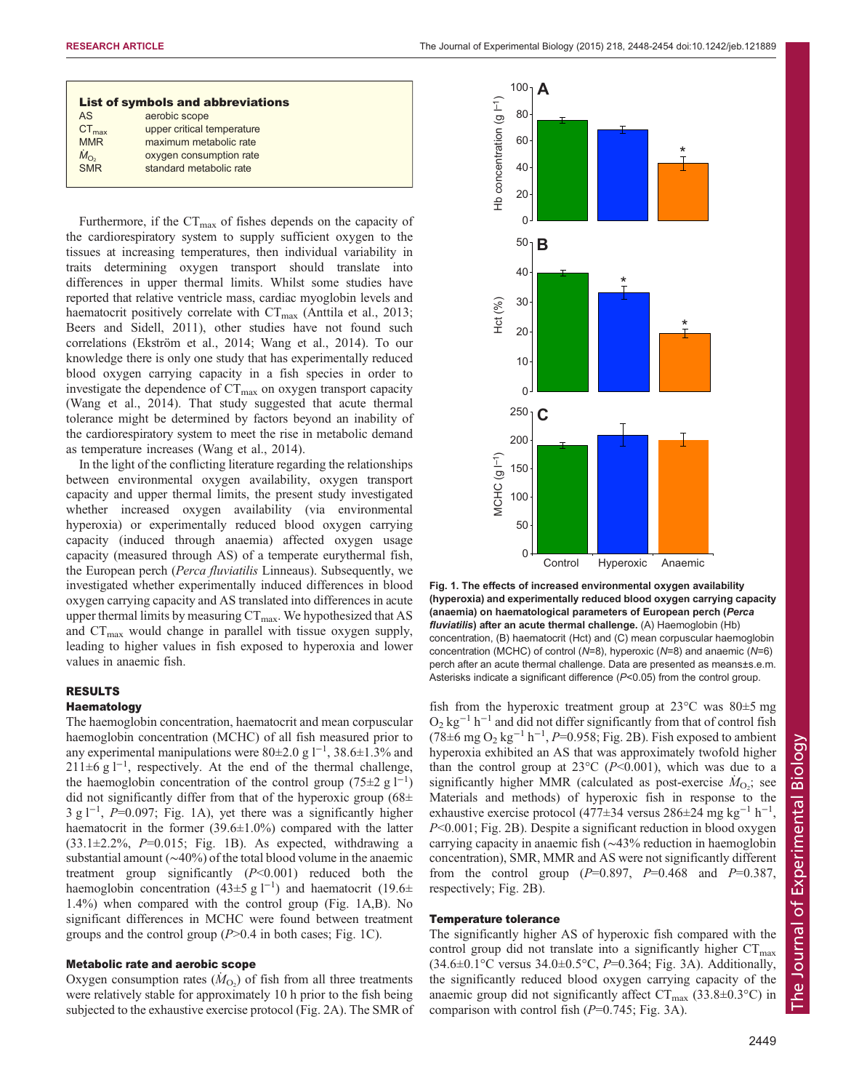| <b>List of symbols and abbreviations</b> |                            |
|------------------------------------------|----------------------------|
| AS                                       | aerobic scope              |
| $CT_{\text{max}}$                        | upper critical temperature |
| <b>MMR</b>                               | maximum metabolic rate     |
| $\frac{\dot{M}_{\rm O_2}}{\rm SMR}$      | oxygen consumption rate    |
|                                          | standard metabolic rate    |

Furthermore, if the  $CT_{\text{max}}$  of fishes depends on the capacity of the cardiorespiratory system to supply sufficient oxygen to the tissues at increasing temperatures, then individual variability in traits determining oxygen transport should translate into differences in upper thermal limits. Whilst some studies have reported that relative ventricle mass, cardiac myoglobin levels and haematocrit positively correlate with  $CT_{\text{max}}$  [\(Anttila et al., 2013](#page-5-0); [Beers and Sidell, 2011](#page-5-0)), other studies have not found such correlations ([Ekström et al., 2014](#page-5-0); [Wang et al., 2014\)](#page-6-0). To our knowledge there is only one study that has experimentally reduced blood oxygen carrying capacity in a fish species in order to investigate the dependence of  $CT_{\text{max}}$  on oxygen transport capacity [\(Wang et al., 2014](#page-6-0)). That study suggested that acute thermal tolerance might be determined by factors beyond an inability of the cardiorespiratory system to meet the rise in metabolic demand as temperature increases [\(Wang et al., 2014\)](#page-6-0).

In the light of the conflicting literature regarding the relationships between environmental oxygen availability, oxygen transport capacity and upper thermal limits, the present study investigated whether increased oxygen availability (via environmental hyperoxia) or experimentally reduced blood oxygen carrying capacity (induced through anaemia) affected oxygen usage capacity (measured through AS) of a temperate eurythermal fish, the European perch (Perca fluviatilis Linneaus). Subsequently, we investigated whether experimentally induced differences in blood oxygen carrying capacity and AS translated into differences in acute upper thermal limits by measuring  $CT_{\text{max}}$ . We hypothesized that AS and  $CT_{\text{max}}$  would change in parallel with tissue oxygen supply, leading to higher values in fish exposed to hyperoxia and lower values in anaemic fish.

# RESULTS

# **Haematology**

The haemoglobin concentration, haematocrit and mean corpuscular haemoglobin concentration (MCHC) of all fish measured prior to any experimental manipulations were 80±2.0 g l<sup>-1</sup>, 38.6±1.3% and 211±6 g l<sup>-1</sup>, respectively. At the end of the thermal challenge, the haemoglobin concentration of the control group (75 $\pm$ 2 g l<sup>-1</sup>) did not significantly differ from that of the hyperoxic group  $(68\pm)$ 3 g l<sup>-1</sup>, P=0.097; Fig. 1A), yet there was a significantly higher haematocrit in the former  $(39.6\pm1.0\%)$  compared with the latter  $(33.1\pm2.2\%, P=0.015;$  Fig. 1B). As expected, withdrawing a substantial amount (∼40%) of the total blood volume in the anaemic treatment group significantly  $(P<0.001)$  reduced both the haemoglobin concentration (43±5 g l<sup>-1</sup>) and haematocrit (19.6± 1.4%) when compared with the control group (Fig. 1A,B). No significant differences in MCHC were found between treatment groups and the control group  $(P>0.4$  in both cases; Fig. 1C).

## Metabolic rate and aerobic scope

Oxygen consumption rates  $(M<sub>O2</sub>)$  of fish from all three treatments were relatively stable for approximately 10 h prior to the fish being subjected to the exhaustive exercise protocol [\(Fig. 2A](#page-2-0)). The SMR of



Fig. 1. The effects of increased environmental oxygen availability (hyperoxia) and experimentally reduced blood oxygen carrying capacity (anaemia) on haematological parameters of European perch (Perca fluviatilis) after an acute thermal challenge. (A) Haemoglobin (Hb) concentration, (B) haematocrit (Hct) and (C) mean corpuscular haemoglobin concentration (MCHC) of control ( $N=8$ ), hyperoxic ( $N=8$ ) and anaemic ( $N=6$ ) perch after an acute thermal challenge. Data are presented as means±s.e.m. Asterisks indicate a significant difference  $(P<0.05)$  from the control group.

fish from the hyperoxic treatment group at  $23^{\circ}$ C was  $80\pm5$  mg  $O_2$  kg<sup>-1</sup> h<sup>-1</sup> and did not differ significantly from that of control fish (78±6 mg O<sub>2</sub> kg<sup>-1</sup> h<sup>-1</sup>, P=0.958; [Fig. 2B](#page-2-0)). Fish exposed to ambient hyperoxia exhibited an AS that was approximately twofold higher than the control group at  $23^{\circ}C$  (P<0.001), which was due to a significantly higher MMR (calculated as post-exercise  $\dot{M}_{\text{O}_2}$ ; see Materials and methods) of hyperoxic fish in response to the exhaustive exercise protocol (477±34 versus 286±24 mg kg<sup>-1</sup> h<sup>-1</sup>, P<0.001; [Fig. 2](#page-2-0)B). Despite a significant reduction in blood oxygen carrying capacity in anaemic fish (∼43% reduction in haemoglobin concentration), SMR, MMR and AS were not significantly different from the control group  $(P=0.897, P=0.468$  and  $P=0.387$ , respectively; [Fig. 2B](#page-2-0)).

## Temperature tolerance

The significantly higher AS of hyperoxic fish compared with the control group did not translate into a significantly higher  $CT_{\text{max}}$  $(34.6 \pm 0.1^{\circ} \text{C}$  versus  $34.0 \pm 0.5^{\circ} \text{C}$ ,  $P=0.364$ ; [Fig. 3A](#page-3-0)). Additionally, the significantly reduced blood oxygen carrying capacity of the anaemic group did not significantly affect  $CT_{\text{max}}$  (33.8 $\pm$ 0.3°C) in comparison with control fish  $(P=0.745; Fig. 3A)$  $(P=0.745; Fig. 3A)$  $(P=0.745; Fig. 3A)$ .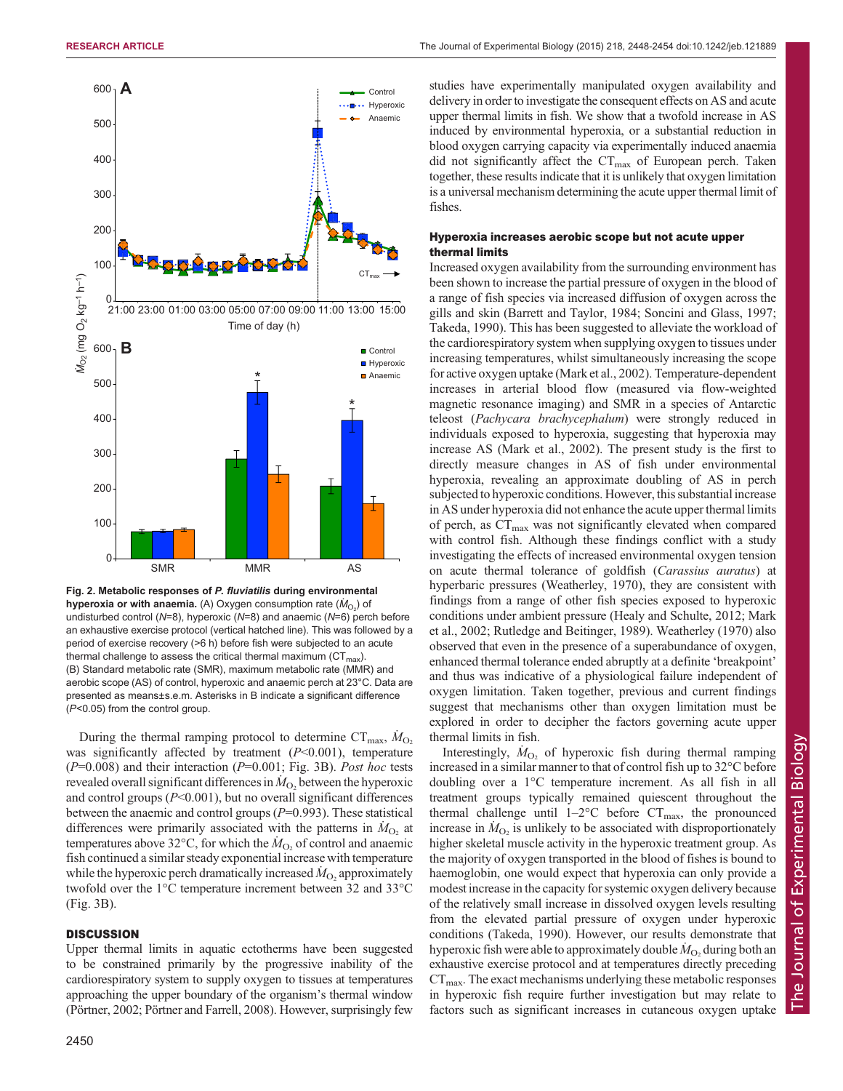<span id="page-2-0"></span>

Fig. 2. Metabolic responses of P. fluviatilis during environmental **hyperoxia or with anaemia.** (A) Oxygen consumption rate  $(\dot{M}_{\rm O_2})$  of undisturbed control ( $N=8$ ), hyperoxic ( $N=8$ ) and anaemic ( $N=6$ ) perch before an exhaustive exercise protocol (vertical hatched line). This was followed by a period of exercise recovery (>6 h) before fish were subjected to an acute thermal challenge to assess the critical thermal maximum ( $CT<sub>max</sub>$ ). (B) Standard metabolic rate (SMR), maximum metabolic rate (MMR) and aerobic scope (AS) of control, hyperoxic and anaemic perch at 23°C. Data are presented as means±s.e.m. Asterisks in B indicate a significant difference (P<0.05) from the control group.

During the thermal ramping protocol to determine  $CT_{\text{max}}$ ,  $\dot{M}_{\text{O}_2}$ was significantly affected by treatment  $(P<0.001)$ , temperature  $(P=0.008)$  and their interaction  $(P=0.001;$  [Fig. 3B](#page-3-0)). Post hoc tests revealed overall significant differences in  $\dot{M}_{\text{O}_2}$  between the hyperoxic and control groups  $(P<0.001)$ , but no overall significant differences between the anaemic and control groups  $(P=0.993)$ . These statistical differences were primarily associated with the patterns in  $\dot{M}_{\text{O}_2}$  at temperatures above 32°C, for which the  $\dot{M}_{\text{O}_2}$  of control and anaemic fish continued a similar steady exponential increase with temperature while the hyperoxic perch dramatically increased  $\dot{M}_{\rm O_2}$  approximately twofold over the 1°C temperature increment between 32 and 33°C [\(Fig. 3](#page-3-0)B).

## **DISCUSSION**

Upper thermal limits in aquatic ectotherms have been suggested to be constrained primarily by the progressive inability of the cardiorespiratory system to supply oxygen to tissues at temperatures approaching the upper boundary of the organism's thermal window [\(Pörtner, 2002;](#page-5-0) [Pörtner and Farrell, 2008\)](#page-6-0). However, surprisingly few

studies have experimentally manipulated oxygen availability and delivery in order to investigate the consequent effects on AS and acute upper thermal limits in fish. We show that a twofold increase in AS induced by environmental hyperoxia, or a substantial reduction in blood oxygen carrying capacity via experimentally induced anaemia did not significantly affect the  $CT_{\text{max}}$  of European perch. Taken together, these results indicate that it is unlikely that oxygen limitation is a universal mechanism determining the acute upper thermal limit of fishes.

# Hyperoxia increases aerobic scope but not acute upper thermal limits

Increased oxygen availability from the surrounding environment has been shown to increase the partial pressure of oxygen in the blood of a range of fish species via increased diffusion of oxygen across the gills and skin [\(Barrett and Taylor, 1984;](#page-5-0) [Soncini and Glass, 1997](#page-6-0); [Takeda, 1990\)](#page-6-0). This has been suggested to alleviate the workload of the cardiorespiratory system when supplying oxygen to tissues under increasing temperatures, whilst simultaneously increasing the scope for active oxygen uptake ([Mark et al., 2002\)](#page-5-0). Temperature-dependent increases in arterial blood flow (measured via flow-weighted magnetic resonance imaging) and SMR in a species of Antarctic teleost (Pachycara brachycephalum) were strongly reduced in individuals exposed to hyperoxia, suggesting that hyperoxia may increase AS ([Mark et al., 2002\)](#page-5-0). The present study is the first to directly measure changes in AS of fish under environmental hyperoxia, revealing an approximate doubling of AS in perch subjected to hyperoxic conditions. However, this substantial increase in AS under hyperoxia did not enhance the acute upper thermal limits of perch, as CT<sub>max</sub> was not significantly elevated when compared with control fish. Although these findings conflict with a study investigating the effects of increased environmental oxygen tension on acute thermal tolerance of goldfish (Carassius auratus) at hyperbaric pressures ([Weatherley, 1970\)](#page-6-0), they are consistent with findings from a range of other fish species exposed to hyperoxic conditions under ambient pressure [\(Healy and Schulte, 2012; Mark](#page-5-0) [et al., 2002;](#page-5-0) [Rutledge and Beitinger, 1989](#page-6-0)). [Weatherley \(1970\)](#page-6-0) also observed that even in the presence of a superabundance of oxygen, enhanced thermal tolerance ended abruptly at a definite 'breakpoint' and thus was indicative of a physiological failure independent of oxygen limitation. Taken together, previous and current findings suggest that mechanisms other than oxygen limitation must be explored in order to decipher the factors governing acute upper thermal limits in fish.

Interestingly,  $\dot{M}_{O_2}$  of hyperoxic fish during thermal ramping increased in a similar manner to that of control fish up to 32°C before doubling over a 1°C temperature increment. As all fish in all treatment groups typically remained quiescent throughout the thermal challenge until  $1-2$ °C before  $CT_{\text{max}}$ , the pronounced increase in  $\dot{M}_{\text{O}_2}$  is unlikely to be associated with disproportionately higher skeletal muscle activity in the hyperoxic treatment group. As the majority of oxygen transported in the blood of fishes is bound to haemoglobin, one would expect that hyperoxia can only provide a modest increase in the capacity for systemic oxygen delivery because of the relatively small increase in dissolved oxygen levels resulting from the elevated partial pressure of oxygen under hyperoxic conditions ([Takeda, 1990\)](#page-6-0). However, our results demonstrate that hyperoxic fish were able to approximately double  $\dot{M}_\mathrm{O_2}$  during both an exhaustive exercise protocol and at temperatures directly preceding  $CT<sub>max</sub>$ . The exact mechanisms underlying these metabolic responses in hyperoxic fish require further investigation but may relate to factors such as significant increases in cutaneous oxygen uptake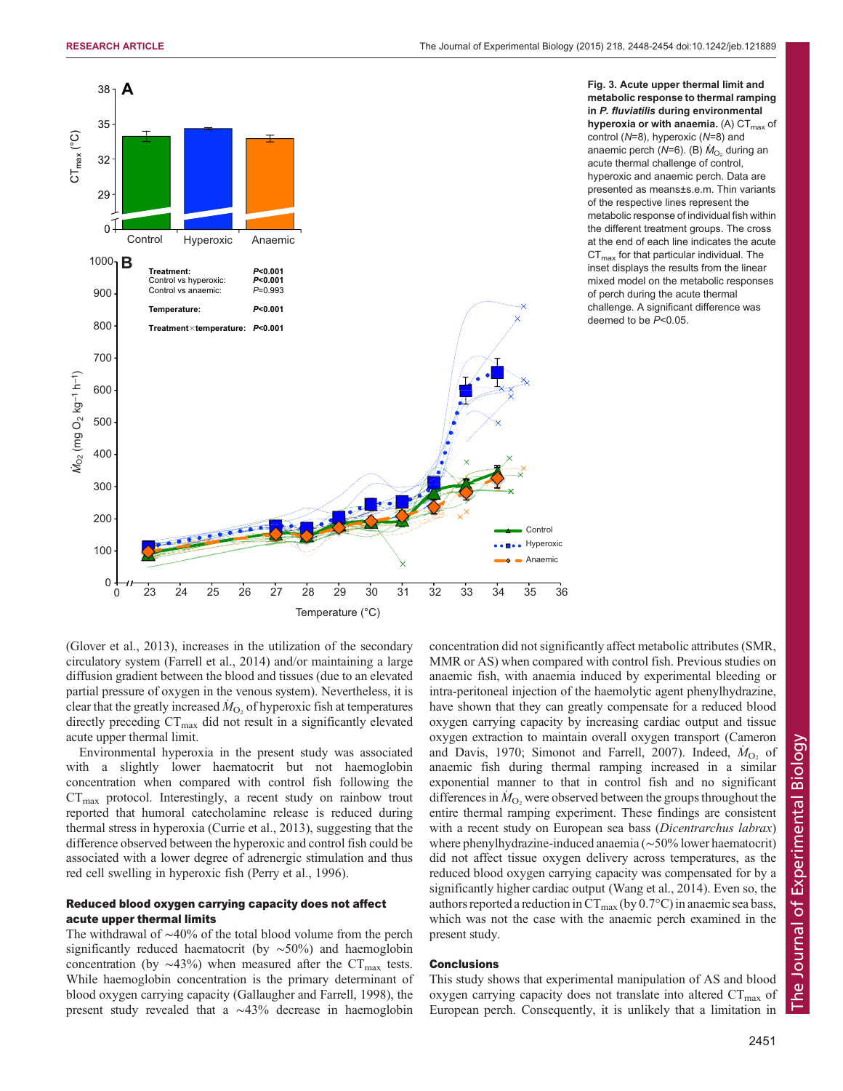<span id="page-3-0"></span>

Fig. 3. Acute upper thermal limit and metabolic response to thermal ramping in P. fluviatilis during environmental hyperoxia or with anaemia. (A)  $CT_{\text{max}}$  of control (N=8), hyperoxic (N=8) and anaemic perch ( $N=6$ ). (B)  $\dot{M}_{O_2}$  during an acute thermal challenge of control, hyperoxic and anaemic perch. Data are presented as means±s.e.m. Thin variants of the respective lines represent the metabolic response of individual fish within the different treatment groups. The cross at the end of each line indicates the acute  $CT<sub>max</sub>$  for that particular individual. The inset displays the results from the linear mixed model on the metabolic responses of perch during the acute thermal challenge. A significant difference was deemed to be P<0.05.

[\(Glover et al., 2013\)](#page-5-0), increases in the utilization of the secondary circulatory system [\(Farrell et al., 2014](#page-5-0)) and/or maintaining a large diffusion gradient between the blood and tissues (due to an elevated partial pressure of oxygen in the venous system). Nevertheless, it is clear that the greatly increased  $\dot{M}_{\text{O}_2}$  of hyperoxic fish at temperatures directly preceding  $CT_{\text{max}}$  did not result in a significantly elevated acute upper thermal limit.

Environmental hyperoxia in the present study was associated with a slightly lower haematocrit but not haemoglobin concentration when compared with control fish following the  $CT_{\text{max}}$  protocol. Interestingly, a recent study on rainbow trout reported that humoral catecholamine release is reduced during thermal stress in hyperoxia [\(Currie et al., 2013](#page-5-0)), suggesting that the difference observed between the hyperoxic and control fish could be associated with a lower degree of adrenergic stimulation and thus red cell swelling in hyperoxic fish [\(Perry et al., 1996](#page-5-0)).

# Reduced blood oxygen carrying capacity does not affect acute upper thermal limits

The withdrawal of ∼40% of the total blood volume from the perch significantly reduced haematocrit (by ∼50%) and haemoglobin concentration (by  $\sim$ 43%) when measured after the CT<sub>max</sub> tests. While haemoglobin concentration is the primary determinant of blood oxygen carrying capacity [\(Gallaugher and Farrell, 1998\)](#page-5-0), the present study revealed that a ∼43% decrease in haemoglobin

concentration did not significantly affect metabolic attributes (SMR, MMR or AS) when compared with control fish. Previous studies on anaemic fish, with anaemia induced by experimental bleeding or intra-peritoneal injection of the haemolytic agent phenylhydrazine, have shown that they can greatly compensate for a reduced blood oxygen carrying capacity by increasing cardiac output and tissue oxygen extraction to maintain overall oxygen transport ([Cameron](#page-5-0) [and Davis, 1970;](#page-5-0) [Simonot and Farrell, 2007](#page-6-0)). Indeed,  $\dot{M}_{O_2}$  of anaemic fish during thermal ramping increased in a similar exponential manner to that in control fish and no significant differences in  $\dot{M}_{\text{O}_2}$  were observed between the groups throughout the entire thermal ramping experiment. These findings are consistent with a recent study on European sea bass (Dicentrarchus labrax) where phenylhydrazine-induced anaemia (∼50% lower haematocrit) did not affect tissue oxygen delivery across temperatures, as the reduced blood oxygen carrying capacity was compensated for by a significantly higher cardiac output [\(Wang et al., 2014\)](#page-6-0). Even so, the authors reported a reduction in  $CT_{\text{max}}$  (by 0.7°C) in anaemic sea bass, which was not the case with the anaemic perch examined in the present study.

# **Conclusions**

This study shows that experimental manipulation of AS and blood oxygen carrying capacity does not translate into altered  $CT_{\text{max}}$  of European perch. Consequently, it is unlikely that a limitation in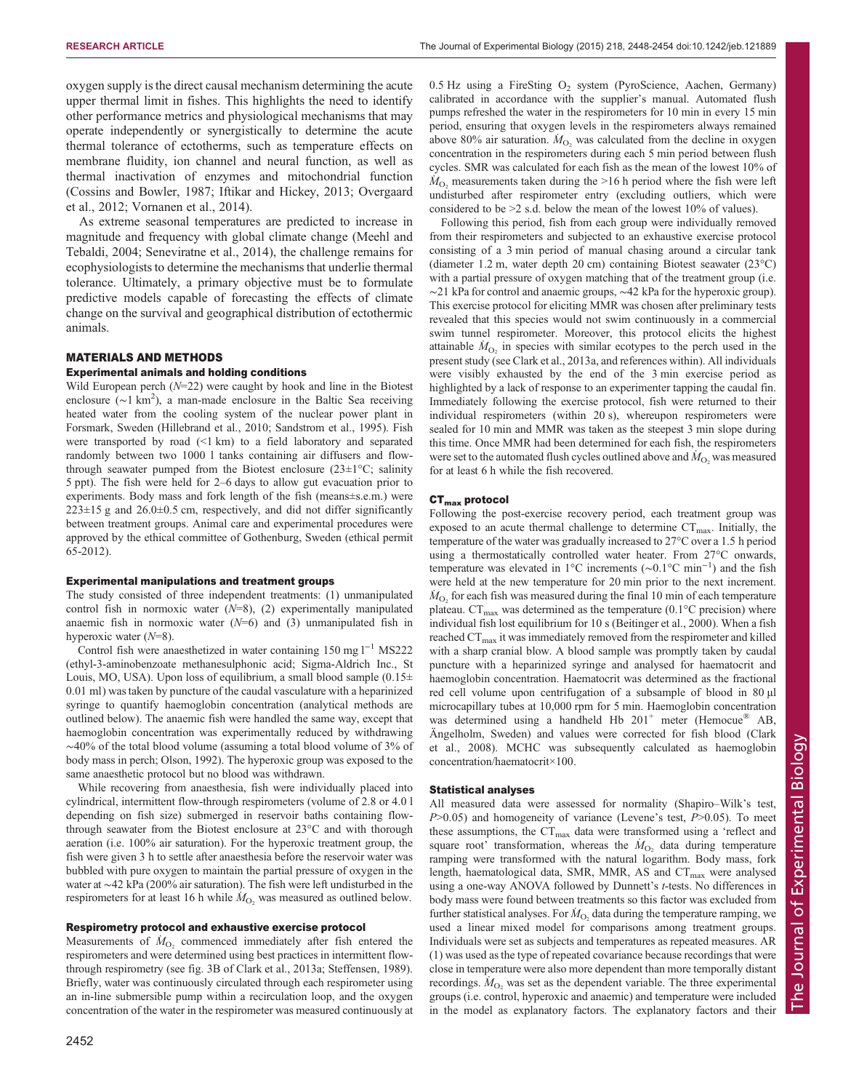oxygen supply is the direct causal mechanism determining the acute upper thermal limit in fishes. This highlights the need to identify other performance metrics and physiological mechanisms that may operate independently or synergistically to determine the acute thermal tolerance of ectotherms, such as temperature effects on membrane fluidity, ion channel and neural function, as well as thermal inactivation of enzymes and mitochondrial function [\(Cossins and Bowler, 1987](#page-5-0); [Iftikar and Hickey, 2013](#page-5-0); [Overgaard](#page-5-0) [et al., 2012;](#page-5-0) [Vornanen et al., 2014](#page-6-0)).

As extreme seasonal temperatures are predicted to increase in magnitude and frequency with global climate change [\(Meehl and](#page-5-0) [Tebaldi, 2004;](#page-5-0) [Seneviratne et al., 2014](#page-6-0)), the challenge remains for ecophysiologists to determine the mechanisms that underlie thermal tolerance. Ultimately, a primary objective must be to formulate predictive models capable of forecasting the effects of climate change on the survival and geographical distribution of ectothermic animals.

## MATERIALS AND METHODS

## Experimental animals and holding conditions

Wild European perch  $(N=22)$  were caught by hook and line in the Biotest enclosure ( $\sim$ 1 km<sup>2</sup>), a man-made enclosure in the Baltic Sea receiving heated water from the cooling system of the nuclear power plant in Forsmark, Sweden [\(Hillebrand et al., 2010;](#page-5-0) [Sandstrom et al., 1995\)](#page-6-0). Fish were transported by road (<1 km) to a field laboratory and separated randomly between two 1000 l tanks containing air diffusers and flowthrough seawater pumped from the Biotest enclosure  $(23\pm1\degree C;$  salinity 5 ppt). The fish were held for 2–6 days to allow gut evacuation prior to experiments. Body mass and fork length of the fish (means±s.e.m.) were  $223 \pm 15$  g and  $26.0 \pm 0.5$  cm, respectively, and did not differ significantly between treatment groups. Animal care and experimental procedures were approved by the ethical committee of Gothenburg, Sweden (ethical permit 65-2012).

#### Experimental manipulations and treatment groups

The study consisted of three independent treatments: (1) unmanipulated control fish in normoxic water  $(N=8)$ ,  $(2)$  experimentally manipulated anaemic fish in normoxic water  $(N=6)$  and  $(3)$  unmanipulated fish in hyperoxic water (N=8).

Control fish were anaesthetized in water containing 150 mg l−<sup>1</sup> MS222 (ethyl-3-aminobenzoate methanesulphonic acid; Sigma-Aldrich Inc., St Louis, MO, USA). Upon loss of equilibrium, a small blood sample  $(0.15\pm$ 0.01 ml) was taken by puncture of the caudal vasculature with a heparinized syringe to quantify haemoglobin concentration (analytical methods are outlined below). The anaemic fish were handled the same way, except that haemoglobin concentration was experimentally reduced by withdrawing ∼40% of the total blood volume (assuming a total blood volume of 3% of body mass in perch; [Olson, 1992](#page-5-0)). The hyperoxic group was exposed to the same anaesthetic protocol but no blood was withdrawn.

While recovering from anaesthesia, fish were individually placed into cylindrical, intermittent flow-through respirometers (volume of 2.8 or 4.0 l depending on fish size) submerged in reservoir baths containing flowthrough seawater from the Biotest enclosure at 23°C and with thorough aeration (i.e. 100% air saturation). For the hyperoxic treatment group, the fish were given 3 h to settle after anaesthesia before the reservoir water was bubbled with pure oxygen to maintain the partial pressure of oxygen in the water at ∼42 kPa (200% air saturation). The fish were left undisturbed in the respirometers for at least 16 h while  $\dot{M}_{\text{O}_2}$  was measured as outlined below.

# Respirometry protocol and exhaustive exercise protocol

Measurements of  $\dot{M}_{O_2}$  commenced immediately after fish entered the respirometers and were determined using best practices in intermittent flowthrough respirometry (see fig. 3B of [Clark et al., 2013a;](#page-5-0) [Steffensen, 1989](#page-6-0)). Briefly, water was continuously circulated through each respirometer using an in-line submersible pump within a recirculation loop, and the oxygen concentration of the water in the respirometer was measured continuously at  $0.5$  Hz using a FireSting  $O<sub>2</sub>$  system (PyroScience, Aachen, Germany) calibrated in accordance with the supplier's manual. Automated flush pumps refreshed the water in the respirometers for 10 min in every 15 min period, ensuring that oxygen levels in the respirometers always remained above 80% air saturation.  $\dot{M}_{\text{O}_2}$  was calculated from the decline in oxygen concentration in the respirometers during each 5 min period between flush cycles. SMR was calculated for each fish as the mean of the lowest 10% of  $\dot{M}_{\text{O}_2}$  measurements taken during the >16 h period where the fish were left undisturbed after respirometer entry (excluding outliers, which were considered to be >2 s.d. below the mean of the lowest 10% of values).

Following this period, fish from each group were individually removed from their respirometers and subjected to an exhaustive exercise protocol consisting of a 3 min period of manual chasing around a circular tank (diameter 1.2 m, water depth 20 cm) containing Biotest seawater (23°C) with a partial pressure of oxygen matching that of the treatment group (i.e. ∼21 kPa for control and anaemic groups, ∼42 kPa for the hyperoxic group). This exercise protocol for eliciting MMR was chosen after preliminary tests revealed that this species would not swim continuously in a commercial swim tunnel respirometer. Moreover, this protocol elicits the highest attainable  $\dot{M}_{\text{O}_2}$  in species with similar ecotypes to the perch used in the present study (see [Clark et al., 2013a,](#page-5-0) and references within). All individuals were visibly exhausted by the end of the 3 min exercise period as highlighted by a lack of response to an experimenter tapping the caudal fin. Immediately following the exercise protocol, fish were returned to their individual respirometers (within 20 s), whereupon respirometers were sealed for 10 min and MMR was taken as the steepest 3 min slope during this time. Once MMR had been determined for each fish, the respirometers were set to the automated flush cycles outlined above and  $\dot{M}_\mathrm{O_2}$  was measured for at least 6 h while the fish recovered.

#### CT<sub>max</sub> protocol

Following the post-exercise recovery period, each treatment group was exposed to an acute thermal challenge to determine  $CT_{\text{max}}$ . Initially, the temperature of the water was gradually increased to 27°C over a 1.5 h period using a thermostatically controlled water heater. From 27°C onwards, temperature was elevated in 1°C increments (∼0.1°C min−<sup>1</sup> ) and the fish were held at the new temperature for 20 min prior to the next increment.  $\dot{M}_{\text{O}_2}$  for each fish was measured during the final 10 min of each temperature plateau.  $CT_{\text{max}}$  was determined as the temperature (0.1 $\textdegree$ C precision) where individual fish lost equilibrium for 10 s [\(Beitinger et al., 2000](#page-5-0)). When a fish reached  $CT_{\text{max}}$  it was immediately removed from the respirometer and killed with a sharp cranial blow. A blood sample was promptly taken by caudal puncture with a heparinized syringe and analysed for haematocrit and haemoglobin concentration. Haematocrit was determined as the fractional red cell volume upon centrifugation of a subsample of blood in 80 µl microcapillary tubes at 10,000 rpm for 5 min. Haemoglobin concentration was determined using a handheld Hb  $201<sup>+</sup>$  meter (Hemocue<sup>®</sup> AB, Ängelholm, Sweden) and values were corrected for fish blood [\(Clark](#page-5-0) [et al., 2008](#page-5-0)). MCHC was subsequently calculated as haemoglobin concentration/haematocrit×100.

#### Statistical analyses

All measured data were assessed for normality (Shapiro–Wilk's test,  $P>0.05$ ) and homogeneity of variance (Levene's test,  $P>0.05$ ). To meet these assumptions, the  $CT_{\text{max}}$  data were transformed using a 'reflect and square root' transformation, whereas the  $\dot{M}_{\text{O}_2}$  data during temperature ramping were transformed with the natural logarithm. Body mass, fork length, haematological data, SMR, MMR, AS and CT<sub>max</sub> were analysed using a one-way ANOVA followed by Dunnett's t-tests. No differences in body mass were found between treatments so this factor was excluded from further statistical analyses. For  $\dot{M}_{\text{O}_2}$  data during the temperature ramping, we used a linear mixed model for comparisons among treatment groups. Individuals were set as subjects and temperatures as repeated measures. AR (1) was used as the type of repeated covariance because recordings that were close in temperature were also more dependent than more temporally distant recordings.  $\dot{M}_{\text{O}_2}$  was set as the dependent variable. The three experimental groups (i.e. control, hyperoxic and anaemic) and temperature were included in the model as explanatory factors. The explanatory factors and their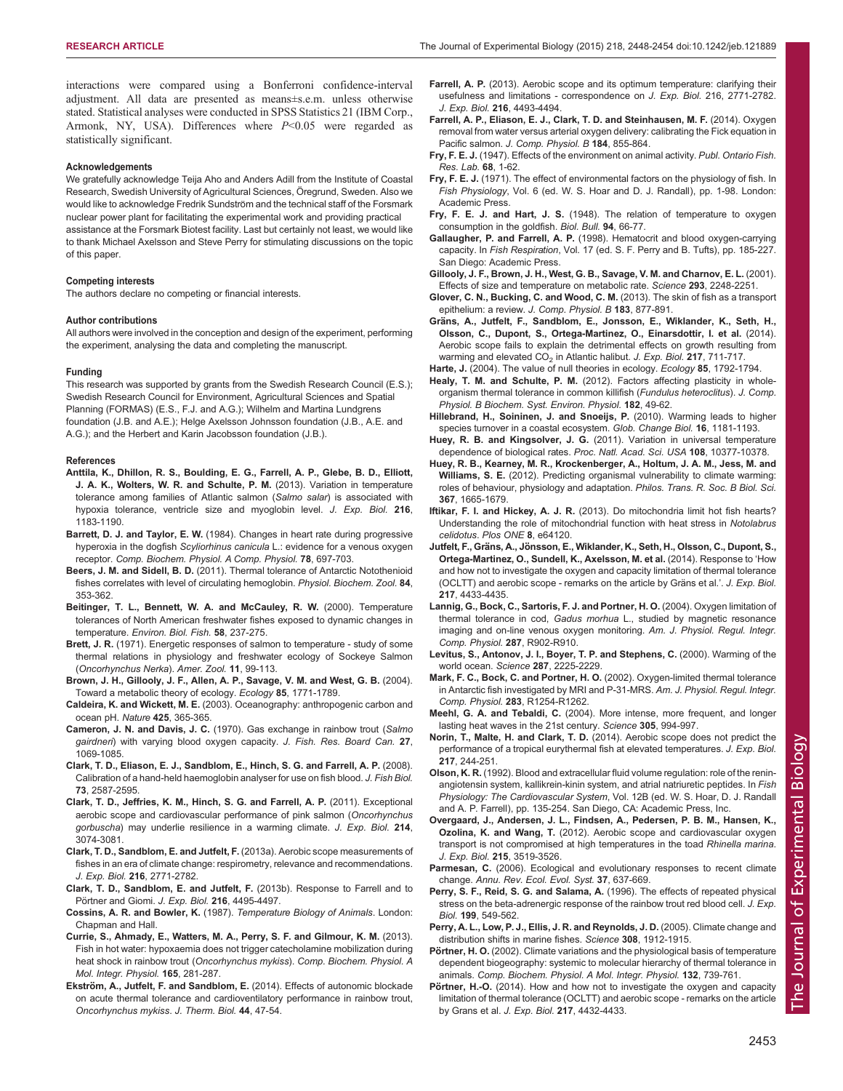<span id="page-5-0"></span>interactions were compared using a Bonferroni confidence-interval adjustment. All data are presented as means±s.e.m. unless otherwise stated. Statistical analyses were conducted in SPSS Statistics 21 (IBM Corp., Armonk, NY, USA). Differences where  $P<0.05$  were regarded as statistically significant.

#### Acknowledgements

We gratefully acknowledge Teija Aho and Anders Adill from the Institute of Coastal Research, Swedish University of Agricultural Sciences, Öregrund, Sweden. Also we would like to acknowledge Fredrik Sundström and the technical staff of the Forsmark nuclear power plant for facilitating the experimental work and providing practical assistance at the Forsmark Biotest facility. Last but certainly not least, we would like to thank Michael Axelsson and Steve Perry for stimulating discussions on the topic of this paper.

#### Competing interests

The authors declare no competing or financial interests.

#### Author contributions

All authors were involved in the conception and design of the experiment, performing the experiment, analysing the data and completing the manuscript.

#### Funding

This research was supported by grants from the Swedish Research Council (E.S.); Swedish Research Council for Environment, Agricultural Sciences and Spatial Planning (FORMAS) (E.S., F.J. and A.G.); Wilhelm and Martina Lundgrens foundation (J.B. and A.E.); Helge Axelsson Johnsson foundation (J.B., A.E. and A.G.); and the Herbert and Karin Jacobsson foundation (J.B.).

#### References

- [Anttila, K., Dhillon, R. S., Boulding, E. G., Farrell, A. P., Glebe, B. D., Elliott,](http://dx.doi.org/10.1242/jeb.080556) [J. A. K., Wolters, W. R. and Schulte, P. M.](http://dx.doi.org/10.1242/jeb.080556) (2013). Variation in temperature [tolerance among families of Atlantic salmon \(](http://dx.doi.org/10.1242/jeb.080556)Salmo salar) is associated with [hypoxia tolerance, ventricle size and myoglobin level.](http://dx.doi.org/10.1242/jeb.080556) J. Exp. Biol. 216, [1183-1190.](http://dx.doi.org/10.1242/jeb.080556)
- Barrett, D. J. and Taylor, E. W. [\(1984\). Changes in heart rate during progressive](http://dx.doi.org/10.1016/0300-9629(84)90619-4) hyperoxia in the dogfish Scyliorhinus canicula [L.: evidence for a venous oxygen](http://dx.doi.org/10.1016/0300-9629(84)90619-4) receptor. [Comp. Biochem. Physiol. A Comp. Physiol.](http://dx.doi.org/10.1016/0300-9629(84)90619-4) 78, 697-703.
- Beers, J. M. and Sidell, B. D. [\(2011\). Thermal tolerance of Antarctic Notothenioid](http://dx.doi.org/10.1086/660191) [fishes correlates with level of circulating hemoglobin.](http://dx.doi.org/10.1086/660191) Physiol. Biochem. Zool. 84, [353-362.](http://dx.doi.org/10.1086/660191)
- [Beitinger, T. L., Bennett, W. A. and McCauley, R. W.](http://dx.doi.org/10.1023/A:1007676325825) (2000). Temperature [tolerances of North American freshwater fishes exposed to dynamic changes in](http://dx.doi.org/10.1023/A:1007676325825) temperature. [Environ. Biol. Fish.](http://dx.doi.org/10.1023/A:1007676325825) 58, 237-275.
- Brett, J. R. (1971). Energetic responses of salmon to temperature study of some thermal relations in physiology and freshwater ecology of Sockeye Salmon (Oncorhynchus Nerka). Amer. Zool. 11, 99-113.
- [Brown, J. H., Gillooly, J. F., Allen, A. P., Savage, V. M. and West, G. B.](http://dx.doi.org/10.1890/03-9000) (2004). [Toward a metabolic theory of ecology.](http://dx.doi.org/10.1890/03-9000) Ecology 85, 1771-1789.
- Caldeira, K. and Wickett, M. E. [\(2003\). Oceanography: anthropogenic carbon and](http://dx.doi.org/10.1038/425365a) [ocean pH.](http://dx.doi.org/10.1038/425365a) Nature 425, 365-365.
- Cameron, J. N. and Davis, J. C. [\(1970\). Gas exchange in rainbow trout \(](http://dx.doi.org/10.1139/f70-123)Salmo gairdneri[\) with varying blood oxygen capacity.](http://dx.doi.org/10.1139/f70-123) J. Fish. Res. Board Can. 27, [1069-1085.](http://dx.doi.org/10.1139/f70-123)
- [Clark, T. D., Eliason, E. J., Sandblom, E., Hinch, S. G. and Farrell, A. P.](http://dx.doi.org/10.1111/j.1095-8649.2008.02109.x) (2008). [Calibration of a hand-held haemoglobin analyser for use on fish blood.](http://dx.doi.org/10.1111/j.1095-8649.2008.02109.x) J. Fish Biol. 73[, 2587-2595.](http://dx.doi.org/10.1111/j.1095-8649.2008.02109.x)
- [Clark, T. D., Jeffries, K. M., Hinch, S. G. and Farrell, A. P.](http://dx.doi.org/10.1242/jeb.060517) (2011). Exceptional [aerobic scope and cardiovascular performance of pink salmon \(](http://dx.doi.org/10.1242/jeb.060517)Oncorhynchus gorbuscha[\) may underlie resilience in a warming climate.](http://dx.doi.org/10.1242/jeb.060517) J. Exp. Biol. 214, [3074-3081.](http://dx.doi.org/10.1242/jeb.060517)
- [Clark, T. D., Sandblom, E. and Jutfelt, F.](http://dx.doi.org/10.1242/jeb.084251) (2013a). Aerobic scope measurements of [fishes in an era of climate change: respirometry, relevance and recommendations.](http://dx.doi.org/10.1242/jeb.084251) J. Exp. Biol. 216[, 2771-2782.](http://dx.doi.org/10.1242/jeb.084251)
- [Clark, T. D., Sandblom, E. and Jutfelt, F.](http://dx.doi.org/10.1242/jeb.096313) (2013b). Response to Farrell and to Pö[rtner and Giomi.](http://dx.doi.org/10.1242/jeb.096313) J. Exp. Biol. 216, 4495-4497.
- Cossins, A. R. and Bowler, K. (1987). Temperature Biology of Animals. London: Chapman and Hall.
- [Currie, S., Ahmady, E., Watters, M. A., Perry, S. F. and Gilmour, K. M.](http://dx.doi.org/10.1016/j.cbpa.2013.03.014) (2013). [Fish in hot water: hypoxaemia does not trigger catecholamine mobilization during](http://dx.doi.org/10.1016/j.cbpa.2013.03.014) [heat shock in rainbow trout \(](http://dx.doi.org/10.1016/j.cbpa.2013.03.014)Oncorhynchus mykiss). Comp. Biochem. Physiol. A [Mol. Integr. Physiol.](http://dx.doi.org/10.1016/j.cbpa.2013.03.014) 165, 281-287.
- Ekström, A., Jutfelt, F. and Sandblom, E. [\(2014\). Effects of autonomic blockade](http://dx.doi.org/10.1016/j.jtherbio.2014.06.002) [on acute thermal tolerance and cardioventilatory performance in rainbow trout,](http://dx.doi.org/10.1016/j.jtherbio.2014.06.002) [Oncorhynchus mykiss](http://dx.doi.org/10.1016/j.jtherbio.2014.06.002). J. Therm. Biol. 44, 47-54.
- Farrell, A. P. [\(2013\). Aerobic scope and its optimum temperature: clarifying their](http://dx.doi.org/10.1242/jeb.095471) [usefulness and limitations - correspondence on](http://dx.doi.org/10.1242/jeb.095471) J. Exp. Biol. 216, 2771-2782. J. Exp. Biol. 216[, 4493-4494.](http://dx.doi.org/10.1242/jeb.095471)
- [Farrell, A. P., Eliason, E. J., Clark, T. D. and Steinhausen, M. F.](http://dx.doi.org/10.1007/s00360-014-0839-7) (2014). Oxygen [removal from water versus arterial oxygen delivery: calibrating the Fick equation in](http://dx.doi.org/10.1007/s00360-014-0839-7) Pacific salmon. [J. Comp. Physiol. B](http://dx.doi.org/10.1007/s00360-014-0839-7) 184, 855-864.
- Fry, F. E. J. (1947). Effects of the environment on animal activity. Publ. Ontario Fish. Res. Lab. 68, 1-62.
- Fry, F. E. J. (1971). The effect of environmental factors on the physiology of fish. In Fish Physiology, Vol. 6 (ed. W. S. Hoar and D. J. Randall), pp. 1-98. London: Academic Press.
- Fry, F. E. J. and Hart, J. S. [\(1948\). The relation of temperature to oxygen](http://dx.doi.org/10.2307/1538211) [consumption in the goldfish.](http://dx.doi.org/10.2307/1538211) Biol. Bull. 94, 66-77.
- Gallaugher, P. and Farrell, A. P. (1998). Hematocrit and blood oxygen-carrying capacity. In Fish Respiration, Vol. 17 (ed. S. F. Perry and B. Tufts), pp. 185-227. San Diego: Academic Press.
- [Gillooly, J. F., Brown, J. H., West, G. B., Savage, V. M. and Charnov, E. L.](http://dx.doi.org/10.1126/science.1061967) (2001). [Effects of size and temperature on metabolic rate.](http://dx.doi.org/10.1126/science.1061967) Science 293, 2248-2251.
- [Glover, C. N., Bucking, C. and Wood, C. M.](http://dx.doi.org/10.1007/s00360-013-0761-4) (2013). The skin of fish as a transport [epithelium: a review.](http://dx.doi.org/10.1007/s00360-013-0761-4) J. Comp. Physiol. B 183, 877-891.
- Grä[ns, A., Jutfelt, F., Sandblom, E., Jonsson, E., Wiklander, K., Seth, H.,](http://dx.doi.org/10.1242/jeb.096743) [Olsson, C., Dupont, S., Ortega-Martinez, O., Einarsdottir, I. et al.](http://dx.doi.org/10.1242/jeb.096743) (2014). [Aerobic scope fails to explain the detrimental effects on growth resulting from](http://dx.doi.org/10.1242/jeb.096743) warming and elevated  $CO<sub>2</sub>$  [in Atlantic halibut.](http://dx.doi.org/10.1242/jeb.096743) J. Exp. Biol. 217, 711-717.
- Harte, J. [\(2004\). The value of null theories in ecology.](http://dx.doi.org/10.1890/03-0681) Ecology 85, 1792-1794.
- Healy, T. M. and Schulte, P. M. [\(2012\). Factors affecting plasticity in whole](http://dx.doi.org/10.1007/s00360-011-0595-x)[organism thermal tolerance in common killifish \(](http://dx.doi.org/10.1007/s00360-011-0595-x)Fundulus heteroclitus). J. Comp. [Physiol. B Biochem. Syst. Environ. Physiol.](http://dx.doi.org/10.1007/s00360-011-0595-x) 182, 49-62.
- [Hillebrand, H., Soininen, J. and Snoeijs, P.](http://dx.doi.org/10.1111/j.1365-2486.2009.02045.x) (2010). Warming leads to higher [species turnover in a coastal ecosystem.](http://dx.doi.org/10.1111/j.1365-2486.2009.02045.x) Glob. Change Biol. 16, 1181-1193.
- Huey, R. B. and Kingsolver, J. G. [\(2011\). Variation in universal temperature](http://dx.doi.org/10.1073/pnas.1107430108) [dependence of biological rates.](http://dx.doi.org/10.1073/pnas.1107430108) Proc. Natl. Acad. Sci. USA 108, 10377-10378.
- [Huey, R. B., Kearney, M. R., Krockenberger, A., Holtum, J. A. M., Jess, M. and](http://dx.doi.org/10.1098/rstb.2012.0005) Williams, S. E. [\(2012\). Predicting organismal vulnerability to climate warming:](http://dx.doi.org/10.1098/rstb.2012.0005) [roles of behaviour, physiology and adaptation.](http://dx.doi.org/10.1098/rstb.2012.0005) Philos. Trans. R. Soc. B Biol. Sci. 367[, 1665-1679.](http://dx.doi.org/10.1098/rstb.2012.0005)
- Iftikar, F. I. and Hickey, A. J. R. [\(2013\). Do mitochondria limit hot fish hearts?](http://dx.doi.org/10.1371/journal.pone.0064120) [Understanding the role of mitochondrial function with heat stress in](http://dx.doi.org/10.1371/journal.pone.0064120) Notolabrus celidotus. [Plos ONE](http://dx.doi.org/10.1371/journal.pone.0064120) 8, e64120.
- Jutfelt, F., Gräns, A., Jö[nsson, E., Wiklander, K., Seth, H., Olsson, C., Dupont, S.,](http://dx.doi.org/10.1242/jeb.115410) [Ortega-Martinez, O., Sundell, K., Axelsson, M. et al.](http://dx.doi.org/10.1242/jeb.115410) (2014). Response to 'How [and how not to investigate the oxygen and capacity limitation of thermal tolerance](http://dx.doi.org/10.1242/jeb.115410) (OCLTT) and aerobic scope - remarks on the article by Gräns et al.'. J. Exp. Biol. 217[, 4433-4435.](http://dx.doi.org/10.1242/jeb.115410)
- [Lannig, G., Bock, C., Sartoris, F. J. and Portner, H. O.](http://dx.doi.org/10.1152/ajpregu.00700.2003) (2004). Oxygen limitation of thermal tolerance in cod, Gadus morhua [L., studied by magnetic resonance](http://dx.doi.org/10.1152/ajpregu.00700.2003) [imaging and on-line venous oxygen monitoring.](http://dx.doi.org/10.1152/ajpregu.00700.2003) Am. J. Physiol. Regul. Integr. [Comp. Physiol.](http://dx.doi.org/10.1152/ajpregu.00700.2003) 287, R902-R910.
- [Levitus, S., Antonov, J. I., Boyer, T. P. and Stephens, C.](http://dx.doi.org/10.1126/science.287.5461.2225) (2000). Warming of the [world ocean.](http://dx.doi.org/10.1126/science.287.5461.2225) Science 287, 2225-2229.
- [Mark, F. C., Bock, C. and Portner, H. O.](http://dx.doi.org/10.1152/ajpregu.00167.2002) (2002). Oxygen-limited thermal tolerance [in Antarctic fish investigated by MRI and P-31-MRS.](http://dx.doi.org/10.1152/ajpregu.00167.2002) Am. J. Physiol. Regul. Integr. Comp. Physiol. 283[, R1254-R1262.](http://dx.doi.org/10.1152/ajpregu.00167.2002)
- Meehl, G. A. and Tebaldi, C. [\(2004\). More intense, more frequent, and longer](http://dx.doi.org/10.1126/science.1098704) [lasting heat waves in the 21st century.](http://dx.doi.org/10.1126/science.1098704) Science 305, 994-997.

Norin, T., Malte, H. and Clark, T. D. [\(2014\). Aerobic scope does not predict the](http://dx.doi.org/10.1242/jeb.089755) [performance of a tropical eurythermal fish at elevated temperatures.](http://dx.doi.org/10.1242/jeb.089755) J. Exp. Biol. 217[, 244-251.](http://dx.doi.org/10.1242/jeb.089755)

- Olson, K. R. (1992). Blood and extracellular fluid volume regulation: role of the reninangiotensin system, kallikrein-kinin system, and atrial natriuretic peptides. In Fish Physiology: The Cardiovascular System, Vol. 12B (ed. W. S. Hoar, D. J. Randall and A. P. Farrell), pp. 135-254. San Diego, CA: Academic Press, Inc.
- [Overgaard, J., Andersen, J. L., Findsen, A., Pedersen, P. B. M., Hansen, K.,](http://dx.doi.org/10.1242/jeb.070110) Ozolina, K. and Wang, T. [\(2012\). Aerobic scope and cardiovascular oxygen](http://dx.doi.org/10.1242/jeb.070110) [transport is not compromised at high temperatures in the toad](http://dx.doi.org/10.1242/jeb.070110) Rhinella marina. J. Exp. Biol. 215[, 3519-3526.](http://dx.doi.org/10.1242/jeb.070110)
- Parmesan, C. [\(2006\). Ecological and evolutionary responses to recent climate](http://dx.doi.org/10.1146/annurev.ecolsys.37.091305.110100) change. [Annu. Rev. Ecol. Evol. Syst.](http://dx.doi.org/10.1146/annurev.ecolsys.37.091305.110100) 37, 637-669.
- Perry, S. F., Reid, S. G. and Salama, A. (1996). The effects of repeated physical stress on the beta-adrenergic response of the rainbow trout red blood cell. J. Exp. Biol. 199, 549-562.
- [Perry, A. L., Low, P. J., Ellis, J. R. and Reynolds, J. D.](http://dx.doi.org/10.1126/science.1111322) (2005). Climate change and [distribution shifts in marine fishes.](http://dx.doi.org/10.1126/science.1111322) Science 308, 1912-1915.
- Pörtner, H. O. [\(2002\). Climate variations and the physiological basis of temperature](http://dx.doi.org/10.1016/S1095-6433(02)00045-4) [dependent biogeography: systemic to molecular hierarchy of thermal tolerance in](http://dx.doi.org/10.1016/S1095-6433(02)00045-4) animals. [Comp. Biochem. Physiol. A Mol. Integr. Physiol.](http://dx.doi.org/10.1016/S1095-6433(02)00045-4) 132, 739-761.
- Pörtner, H.-O. [\(2014\). How and how not to investigate the oxygen and capacity](http://dx.doi.org/10.1242/jeb.114181) [limitation of thermal tolerance \(OCLTT\) and aerobic scope - remarks on the article](http://dx.doi.org/10.1242/jeb.114181) [by Grans et al.](http://dx.doi.org/10.1242/jeb.114181) J. Exp. Biol. 217, 4432-4433.

Biology

Experimental

 $\overline{\sigma}$